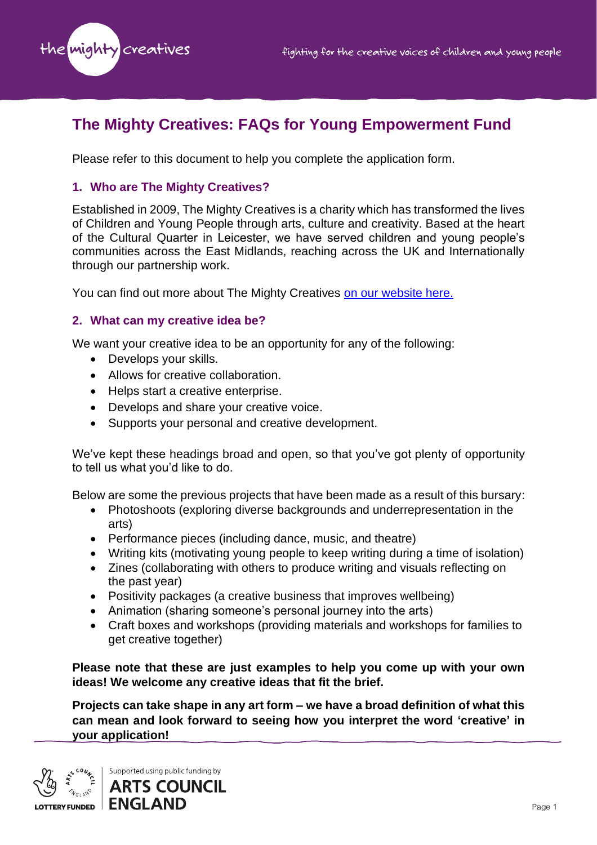

# **The Mighty Creatives: FAQs for Young Empowerment Fund**

Please refer to this document to help you complete the application form.

## **1. Who are The Mighty Creatives?**

Established in 2009, The Mighty Creatives is a charity which has transformed the lives of Children and Young People through arts, culture and creativity. Based at the heart of the Cultural Quarter in Leicester, we have served children and young people's communities across the East Midlands, reaching across the UK and Internationally through our partnership work.

You can find out more about The Mighty Creatives [on our website here.](https://themightycreatives.com/)

## **2. What can my creative idea be?**

We want your creative idea to be an opportunity for any of the following:

- Develops your skills.
- Allows for creative collaboration.
- Helps start a creative enterprise.
- Develops and share your creative voice.
- Supports your personal and creative development.

We've kept these headings broad and open, so that you've got plenty of opportunity to tell us what you'd like to do.

Below are some the previous projects that have been made as a result of this bursary:

- Photoshoots (exploring diverse backgrounds and underrepresentation in the arts)
- Performance pieces (including dance, music, and theatre)
- Writing kits (motivating young people to keep writing during a time of isolation)
- Zines (collaborating with others to produce writing and visuals reflecting on the past year)
- Positivity packages (a creative business that improves wellbeing)
- Animation (sharing someone's personal journey into the arts)
- Craft boxes and workshops (providing materials and workshops for families to get creative together)

**Please note that these are just examples to help you come up with your own ideas! We welcome any creative ideas that fit the brief.**

**Projects can take shape in any art form – we have a broad definition of what this can mean and look forward to seeing how you interpret the word 'creative' in your application!**

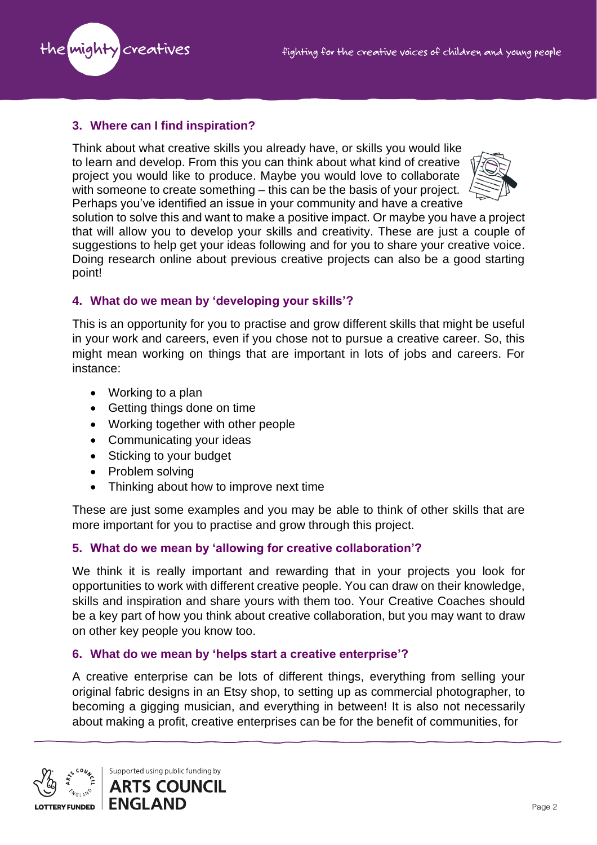

# **3. Where can I find inspiration?**

Think about what creative skills you already have, or skills you would like to learn and develop. From this you can think about what kind of creative project you would like to produce. Maybe you would love to collaborate with someone to create something – this can be the basis of your project. Perhaps you've identified an issue in your community and have a creative



solution to solve this and want to make a positive impact. Or maybe you have a project that will allow you to develop your skills and creativity. These are just a couple of suggestions to help get your ideas following and for you to share your creative voice. Doing research online about previous creative projects can also be a good starting point!

# **4. What do we mean by 'developing your skills'?**

This is an opportunity for you to practise and grow different skills that might be useful in your work and careers, even if you chose not to pursue a creative career. So, this might mean working on things that are important in lots of jobs and careers. For instance:

- Working to a plan
- Getting things done on time
- Working together with other people
- Communicating your ideas
- Sticking to your budget
- Problem solving
- Thinking about how to improve next time

These are just some examples and you may be able to think of other skills that are more important for you to practise and grow through this project.

# **5. What do we mean by 'allowing for creative collaboration'?**

We think it is really important and rewarding that in your projects you look for opportunities to work with different creative people. You can draw on their knowledge, skills and inspiration and share yours with them too. Your Creative Coaches should be a key part of how you think about creative collaboration, but you may want to draw on other key people you know too.

## **6. What do we mean by 'helps start a creative enterprise'?**

A creative enterprise can be lots of different things, everything from selling your original fabric designs in an Etsy shop, to setting up as commercial photographer, to becoming a gigging musician, and everything in between! It is also not necessarily about making a profit, creative enterprises can be for the benefit of communities, for

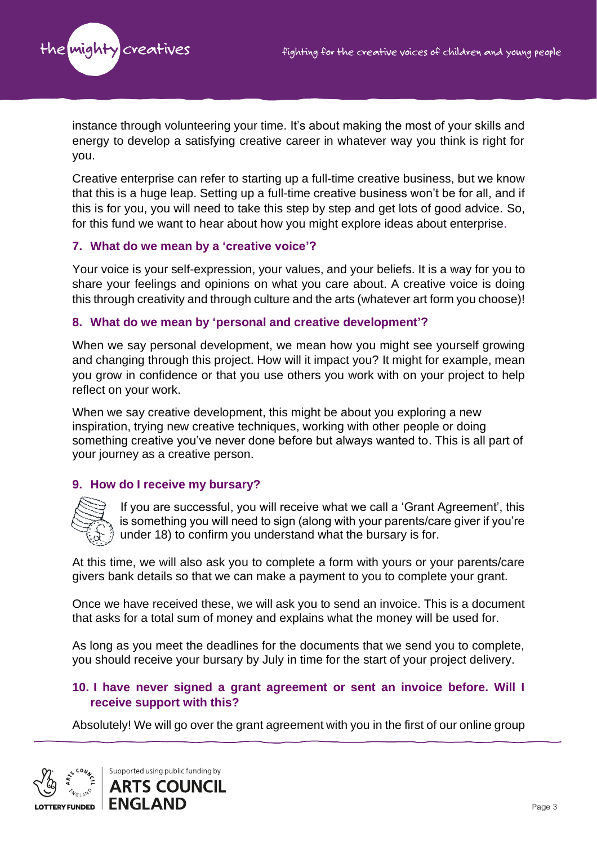

instance through volunteering your time. It's about making the most of your skills and energy to develop a satisfying creative career in whatever way you think is right for you.

Creative enterprise can refer to starting up a full-time creative business, but we know that this is a huge leap. Setting up a full-time creative business won't be for all, and if this is for you, you will need to take this step by step and get lots of good advice. So, for this fund we want to hear about how you might explore ideas about enterprise.

## **7. What do we mean by a 'creative voice'?**

Your voice is your self-expression, your values, and your beliefs. It is a way for you to share your feelings and opinions on what you care about. A creative voice is doing this through creativity and through culture and the arts (whatever art form you choose)!

## **8. What do we mean by 'personal and creative development'?**

When we say personal development, we mean how you might see yourself growing and changing through this project. How will it impact you? It might for example, mean you grow in confidence or that you use others you work with on your project to help reflect on your work.

When we say creative development, this might be about you exploring a new inspiration, trying new creative techniques, working with other people or doing something creative you've never done before but always wanted to. This is all part of your journey as a creative person.

## **9. How do I receive my bursary?**



If you are successful, you will receive what we call a 'Grant Agreement', this is something you will need to sign (along with your parents/care giver if you're under 18) to confirm you understand what the bursary is for.

At this time, we will also ask you to complete a form with yours or your parents/care givers bank details so that we can make a payment to you to complete your grant.

Once we have received these, we will ask you to send an invoice. This is a document that asks for a total sum of money and explains what the money will be used for.

As long as you meet the deadlines for the documents that we send you to complete, you should receive your bursary by July in time for the start of your project delivery.

## **10. I have never signed a grant agreement or sent an invoice before. Will I receive support with this?**

Absolutely! We will go over the grant agreement with you in the first of our online group

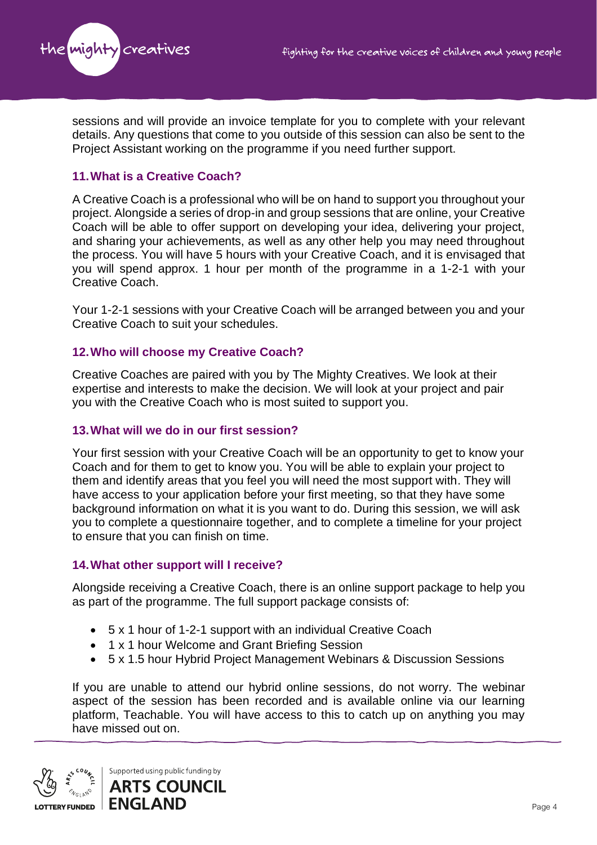

sessions and will provide an invoice template for you to complete with your relevant details. Any questions that come to you outside of this session can also be sent to the Project Assistant working on the programme if you need further support.

## **11.What is a Creative Coach?**

A Creative Coach is a professional who will be on hand to support you throughout your project. Alongside a series of drop-in and group sessions that are online, your Creative Coach will be able to offer support on developing your idea, delivering your project, and sharing your achievements, as well as any other help you may need throughout the process. You will have 5 hours with your Creative Coach, and it is envisaged that you will spend approx. 1 hour per month of the programme in a 1-2-1 with your Creative Coach.

Your 1-2-1 sessions with your Creative Coach will be arranged between you and your Creative Coach to suit your schedules.

#### **12.Who will choose my Creative Coach?**

Creative Coaches are paired with you by The Mighty Creatives. We look at their expertise and interests to make the decision. We will look at your project and pair you with the Creative Coach who is most suited to support you.

#### **13.What will we do in our first session?**

Your first session with your Creative Coach will be an opportunity to get to know your Coach and for them to get to know you. You will be able to explain your project to them and identify areas that you feel you will need the most support with. They will have access to your application before your first meeting, so that they have some background information on what it is you want to do. During this session, we will ask you to complete a questionnaire together, and to complete a timeline for your project to ensure that you can finish on time.

#### **14.What other support will I receive?**

Alongside receiving a Creative Coach, there is an online support package to help you as part of the programme. The full support package consists of:

- 5 x 1 hour of 1-2-1 support with an individual Creative Coach
- 1 x 1 hour Welcome and Grant Briefing Session
- 5 x 1.5 hour Hybrid Project Management Webinars & Discussion Sessions

If you are unable to attend our hybrid online sessions, do not worry. The webinar aspect of the session has been recorded and is available online via our learning platform, Teachable. You will have access to this to catch up on anything you may have missed out on.

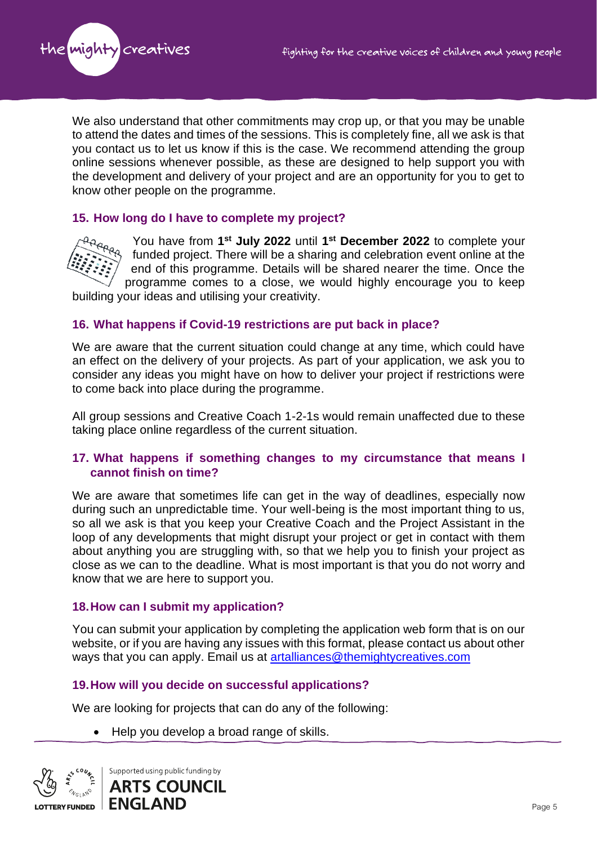

We also understand that other commitments may crop up, or that you may be unable to attend the dates and times of the sessions. This is completely fine, all we ask is that you contact us to let us know if this is the case. We recommend attending the group online sessions whenever possible, as these are designed to help support you with the development and delivery of your project and are an opportunity for you to get to know other people on the programme.

## **15. How long do I have to complete my project?**



You have from **1 st July 2022** until **1 st December 2022** to complete your funded project. There will be a sharing and celebration event online at the end of this programme. Details will be shared nearer the time. Once the programme comes to a close, we would highly encourage you to keep

building your ideas and utilising your creativity.

#### **16. What happens if Covid-19 restrictions are put back in place?**

We are aware that the current situation could change at any time, which could have an effect on the delivery of your projects. As part of your application, we ask you to consider any ideas you might have on how to deliver your project if restrictions were to come back into place during the programme.

All group sessions and Creative Coach 1-2-1s would remain unaffected due to these taking place online regardless of the current situation.

## **17. What happens if something changes to my circumstance that means I cannot finish on time?**

We are aware that sometimes life can get in the way of deadlines, especially now during such an unpredictable time. Your well-being is the most important thing to us, so all we ask is that you keep your Creative Coach and the Project Assistant in the loop of any developments that might disrupt your project or get in contact with them about anything you are struggling with, so that we help you to finish your project as close as we can to the deadline. What is most important is that you do not worry and know that we are here to support you.

#### **18.How can I submit my application?**

You can submit your application by completing the application web form that is on our website, or if you are having any issues with this format, please contact us about other ways that you can apply. Email us at [artalliances@themightycreatives.com](mailto:artalliances@themightycreatives.com)

## **19.How will you decide on successful applications?**

We are looking for projects that can do any of the following:

• Help you develop a broad range of skills.

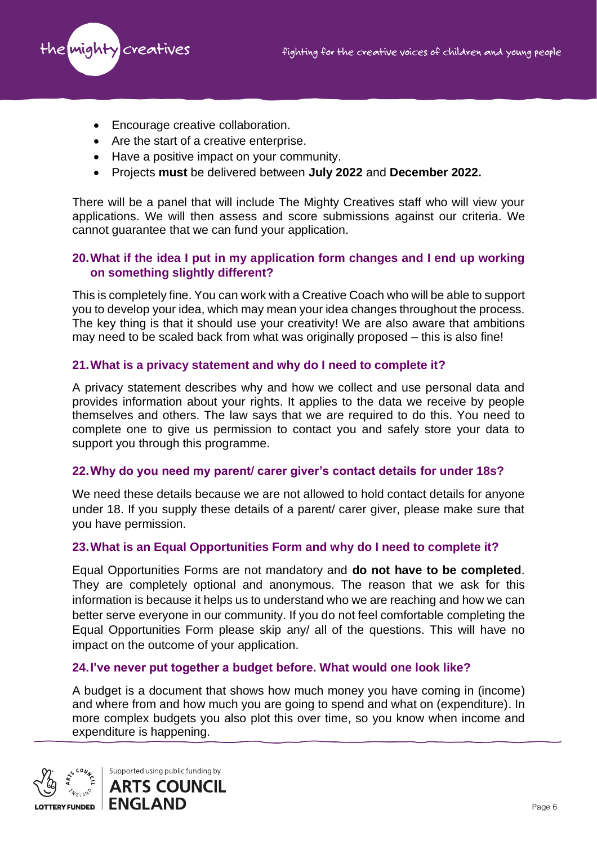

- Encourage creative collaboration.
- Are the start of a creative enterprise.
- Have a positive impact on your community.
- Projects **must** be delivered between **July 2022** and **December 2022.**

There will be a panel that will include The Mighty Creatives staff who will view your applications. We will then assess and score submissions against our criteria. We cannot guarantee that we can fund your application.

## **20.What if the idea I put in my application form changes and I end up working on something slightly different?**

This is completely fine. You can work with a Creative Coach who will be able to support you to develop your idea, which may mean your idea changes throughout the process. The key thing is that it should use your creativity! We are also aware that ambitions may need to be scaled back from what was originally proposed – this is also fine!

## **21.What is a privacy statement and why do I need to complete it?**

A privacy statement describes why and how we collect and use personal data and provides information about your rights. It applies to the data we receive by people themselves and others. The law says that we are required to do this. You need to complete one to give us permission to contact you and safely store your data to support you through this programme.

#### **22.Why do you need my parent/ carer giver's contact details for under 18s?**

We need these details because we are not allowed to hold contact details for anyone under 18. If you supply these details of a parent/ carer giver, please make sure that you have permission.

#### **23.What is an Equal Opportunities Form and why do I need to complete it?**

Equal Opportunities Forms are not mandatory and **do not have to be completed**. They are completely optional and anonymous. The reason that we ask for this information is because it helps us to understand who we are reaching and how we can better serve everyone in our community. If you do not feel comfortable completing the Equal Opportunities Form please skip any/ all of the questions. This will have no impact on the outcome of your application.

## **24.I've never put together a budget before. What would one look like?**

A budget is a document that shows how much money you have coming in (income) and where from and how much you are going to spend and what on (expenditure). In more complex budgets you also plot this over time, so you know when income and expenditure is happening.

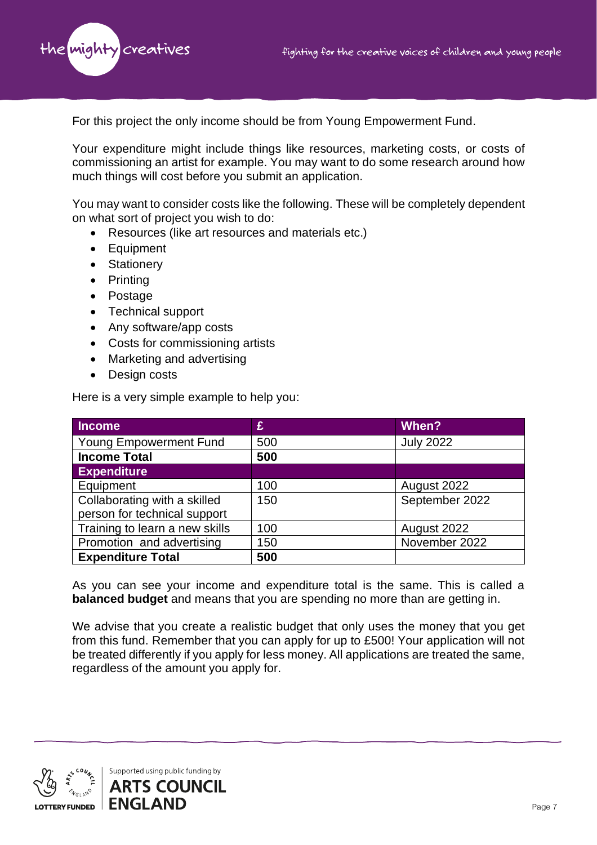

For this project the only income should be from Young Empowerment Fund.

Your expenditure might include things like resources, marketing costs, or costs of commissioning an artist for example. You may want to do some research around how much things will cost before you submit an application.

You may want to consider costs like the following. These will be completely dependent on what sort of project you wish to do:

- Resources (like art resources and materials etc.)
- Equipment
- Stationery
- Printing
- Postage
- Technical support
- Any software/app costs
- Costs for commissioning artists
- Marketing and advertising
- Design costs

Here is a very simple example to help you:

| <b>Income</b>                  | £   | When?            |
|--------------------------------|-----|------------------|
| Young Empowerment Fund         | 500 | <b>July 2022</b> |
| <b>Income Total</b>            | 500 |                  |
| <b>Expenditure</b>             |     |                  |
| Equipment                      | 100 | August 2022      |
| Collaborating with a skilled   | 150 | September 2022   |
| person for technical support   |     |                  |
| Training to learn a new skills | 100 | August 2022      |
| Promotion and advertising      | 150 | November 2022    |
| <b>Expenditure Total</b>       | 500 |                  |

As you can see your income and expenditure total is the same. This is called a **balanced budget** and means that you are spending no more than are getting in.

We advise that you create a realistic budget that only uses the money that you get from this fund. Remember that you can apply for up to £500! Your application will not be treated differently if you apply for less money. All applications are treated the same, regardless of the amount you apply for.